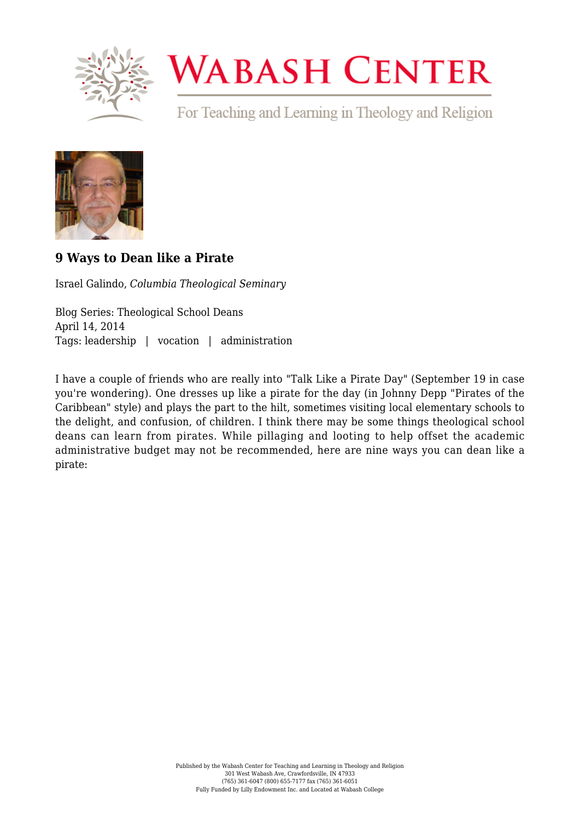

## **WABASH CENTER**

For Teaching and Learning in Theology and Religion



## **[9 Ways to Dean like a Pirate](https://www.wabashcenter.wabash.edu/2014/04/9-ways-to-dean-like-a-pirate/)**

Israel Galindo, *Columbia Theological Seminary*

Blog Series: Theological School Deans April 14, 2014 Tags: leadership | vocation | administration

I have a couple of friends who are really into ["Talk Like a Pirate Day"](https://www.flickr.com/photos/talklikeapirateday/) (September 19 in case you're wondering). One dresses up like a pirate for the day (in Johnny Depp "Pirates of the Caribbean" style) and plays the part to the hilt, sometimes visiting local elementary schools to the delight, and confusion, of children. I think there may be some things theological school deans can learn from pirates. While pillaging and looting to help offset the academic administrative budget may not be recommended, here are nine ways you can dean like a pirate: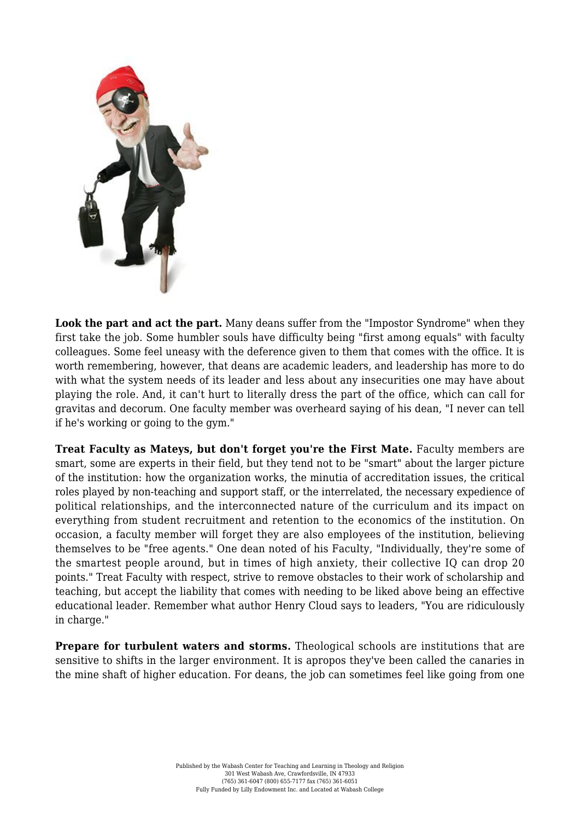

**Look the part and act the part.** Many deans suffer from the "Impostor Syndrome" when they first take the job. Some humbler souls have difficulty being "first among equals" with faculty colleagues. Some feel uneasy with the deference given to them that comes with the office. It is worth remembering, however, that deans are academic leaders, and leadership has more to do with what the system needs of its leader and less about any insecurities one may have about playing the role. And, it can't hurt to literally dress the part of the office, which can call for gravitas and decorum. One faculty member was overheard saying of his dean, "I never can tell if he's working or going to the gym."

**Treat Faculty as Mateys, but don't forget you're the First Mate.** Faculty members are smart, some are experts in their field, but they tend not to be "smart" about the larger picture of the institution: how the organization works, the minutia of accreditation issues, the critical roles played by non-teaching and support staff, or the interrelated, the necessary expedience of political relationships, and the interconnected nature of the curriculum and its impact on everything from student recruitment and retention to the economics of the institution. On occasion, a faculty member will forget they are also employees of the institution, believing themselves to be "free agents." One dean noted of his Faculty, "Individually, they're some of the smartest people around, but in times of high anxiety, their collective IQ can drop 20 points." Treat Faculty with respect, strive to remove obstacles to their work of scholarship and teaching, but accept the liability that comes with needing to be liked above being an effective educational leader. Remember what author Henry Cloud says to leaders, "You are ridiculously in charge."

**Prepare for turbulent waters and storms.** Theological schools are institutions that are sensitive to shifts in the larger environment. It is apropos they've been called the canaries in the mine shaft of higher education. For deans, the job can sometimes feel like going from one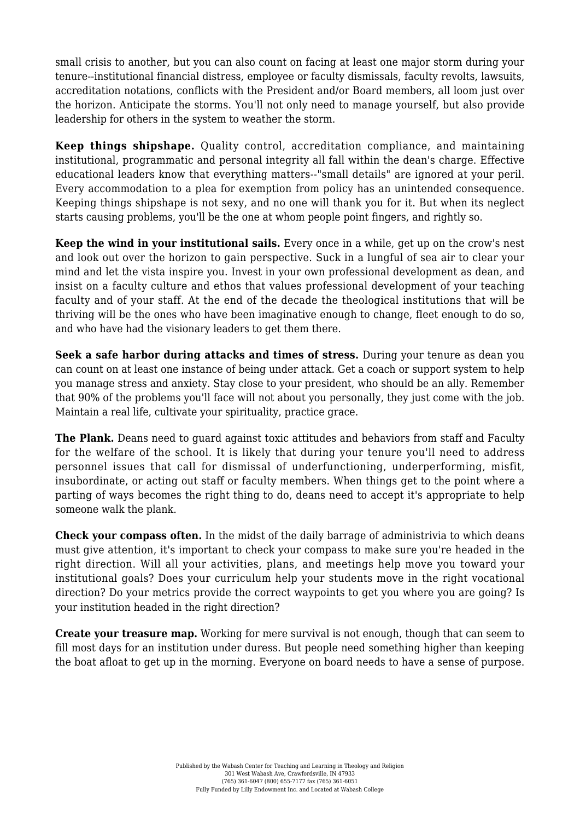small crisis to another, but you can also count on facing at least one major storm during your tenure--institutional financial distress, employee or faculty dismissals, faculty revolts, lawsuits, accreditation notations, conflicts with the President and/or Board members, all loom just over the horizon. Anticipate the storms. You'll not only need to manage yourself, but also provide leadership for others in the system to weather the storm.

**Keep things shipshape.** Quality control, accreditation compliance, and maintaining institutional, programmatic and personal integrity all fall within the dean's charge. Effective educational leaders know that everything matters--"small details" are ignored at your peril. Every accommodation to a plea for exemption from policy has an unintended consequence. Keeping things shipshape is not sexy, and no one will thank you for it. But when its neglect starts causing problems, you'll be the one at whom people point fingers, and rightly so.

**Keep the wind in your institutional sails.** Every once in a while, get up on the crow's nest and look out over the horizon to gain perspective. Suck in a lungful of sea air to clear your mind and let the vista inspire you. Invest in your own professional development as dean, and insist on a faculty culture and ethos that values professional development of your teaching faculty and of your staff. At the end of the decade the theological institutions that will be thriving will be the ones who have been imaginative enough to change, fleet enough to do so, and who have had the visionary leaders to get them there.

**Seek a safe harbor during attacks and times of stress.** During your tenure as dean you can count on at least one instance of being under attack. Get a coach or support system to help you manage stress and anxiety. Stay close to your president, who should be an ally. Remember that 90% of the problems you'll face will not about you personally, they just come with the job. Maintain a real life, cultivate your spirituality, practice grace.

**The Plank.** Deans need to guard against toxic attitudes and behaviors from staff and Faculty for the welfare of the school. It is likely that during your tenure you'll need to address personnel issues that call for dismissal of underfunctioning, underperforming, misfit, insubordinate, or acting out staff or faculty members. When things get to the point where a parting of ways becomes the right thing to do, deans need to accept it's appropriate to help someone walk the plank.

**Check your compass often.** In the midst of the daily barrage of administrivia to which deans must give attention, it's important to check your compass to make sure you're headed in the right direction. Will all your activities, plans, and meetings help move you toward your institutional goals? Does your curriculum help your students move in the right vocational direction? Do your metrics provide the correct waypoints to get you where you are going? Is your institution headed in the right direction?

**Create your treasure map.** Working for mere survival is not enough, though that can seem to fill most days for an institution under duress. But people need something higher than keeping the boat afloat to get up in the morning. Everyone on board needs to have a sense of purpose.